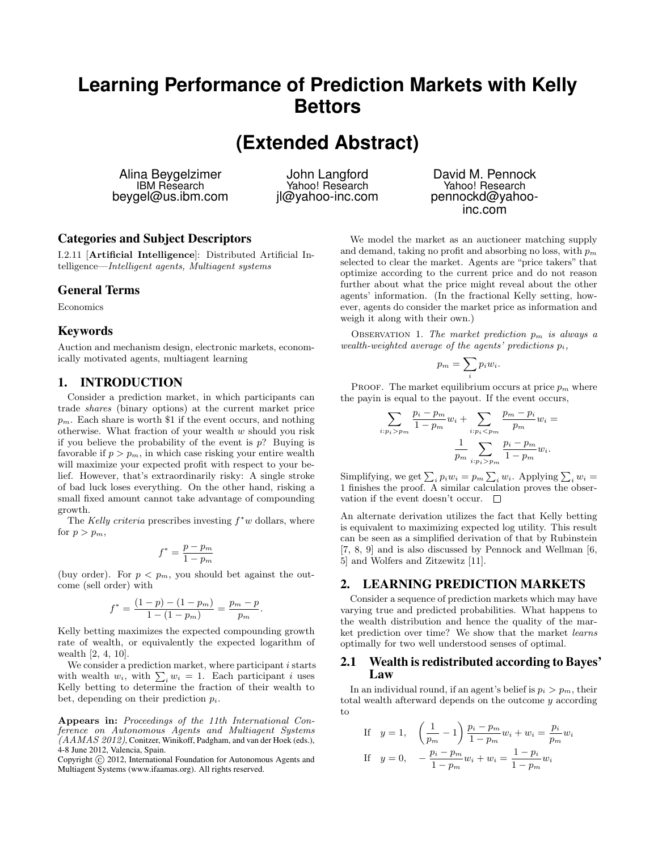# **Learning Performance of Prediction Markets with Kelly Bettors**

**(Extended Abstract)**

Alina Beygelzimer IBM Research beygel@us.ibm.com

John Langford Yahoo! Research jl@yahoo-inc.com

# Categories and Subject Descriptors

I.2.11 [Artificial Intelligence]: Distributed Artificial Intelligence—Intelligent agents, Multiagent systems

### General Terms

Economics

#### Keywords

Auction and mechanism design, electronic markets, economically motivated agents, multiagent learning

## 1. INTRODUCTION

Consider a prediction market, in which participants can trade shares (binary options) at the current market price  $p_m$ . Each share is worth \$1 if the event occurs, and nothing otherwise. What fraction of your wealth  $w$  should you risk if you believe the probability of the event is  $p$ ? Buying is favorable if  $p > p_m$ , in which case risking your entire wealth will maximize your expected profit with respect to your belief. However, that's extraordinarily risky: A single stroke of bad luck loses everything. On the other hand, risking a small fixed amount cannot take advantage of compounding growth.

The Kelly criteria prescribes investing  $f^*w$  dollars, where for  $p > p_m$ ,

$$
f^* = \frac{p - p_m}{1 - p_m}
$$

(buy order). For  $p < p_m$ , you should bet against the outcome (sell order) with

$$
f^* = \frac{(1-p) - (1-p_m)}{1 - (1-p_m)} = \frac{p_m - p}{p_m}.
$$

Kelly betting maximizes the expected compounding growth rate of wealth, or equivalently the expected logarithm of wealth [2, 4, 10].

We consider a prediction market, where participant  $i$  starts with wealth  $w_i$ , with  $\sum_i w_i = 1$ . Each participant i uses Kelly betting to determine the fraction of their wealth to bet, depending on their prediction  $p_i$ .

Appears in: Proceedings of the 11th International Conference on Autonomous Agents and Multiagent Systems  $(AAMAS 2012)$ , Conitzer, Winikoff, Padgham, and van der Hoek (eds.), 4-8 June 2012, Valencia, Spain.

Copyright (C) 2012, International Foundation for Autonomous Agents and Multiagent Systems (www.ifaamas.org). All rights reserved.

David M. Pennock Yahoo! Research pennockd@yahooinc.com

We model the market as an auctioneer matching supply and demand, taking no profit and absorbing no loss, with  $p_m$ selected to clear the market. Agents are "price takers" that optimize according to the current price and do not reason further about what the price might reveal about the other agents' information. (In the fractional Kelly setting, however, agents do consider the market price as information and weigh it along with their own.)

OBSERVATION 1. The market prediction  $p_m$  is always a wealth-weighted average of the agents' predictions  $p_i$ ,

$$
p_m = \sum_i p_i w_i.
$$

PROOF. The market equilibrium occurs at price  $p_m$  where the payin is equal to the payout. If the event occurs,

$$
\sum_{i:p_i > p_m} \frac{p_i - p_m}{1 - p_m} w_i + \sum_{i:p_i < p_m} \frac{p_m - p_i}{p_m} w_i = \frac{1}{p_m} \sum_{i:p_i > p_m} \frac{p_i - p_m}{1 - p_m} w_i.
$$

Simplifying, we get  $\sum_i p_i w_i = p_m \sum_i w_i$ . Applying  $\sum_i w_i =$ 1 finishes the proof. A similar calculation proves the observation if the event doesn't occur.  $\Box$ 

An alternate derivation utilizes the fact that Kelly betting is equivalent to maximizing expected log utility. This result can be seen as a simplified derivation of that by Rubinstein [7, 8, 9] and is also discussed by Pennock and Wellman [6, 5] and Wolfers and Zitzewitz [11].

## 2. LEARNING PREDICTION MARKETS

Consider a sequence of prediction markets which may have varying true and predicted probabilities. What happens to the wealth distribution and hence the quality of the market prediction over time? We show that the market learns optimally for two well understood senses of optimal.

#### 2.1 Wealth is redistributed according to Bayes' Law

In an individual round, if an agent's belief is  $p_i > p_m$ , their total wealth afterward depends on the outcome y according to

If 
$$
y = 1
$$
,  $\left(\frac{1}{p_m} - 1\right) \frac{p_i - p_m}{1 - p_m} w_i + w_i = \frac{p_i}{p_m} w_i$   
\nIf  $y = 0$ ,  $-\frac{p_i - p_m}{1 - p_m} w_i + w_i = \frac{1 - p_i}{1 - p_m} w_i$